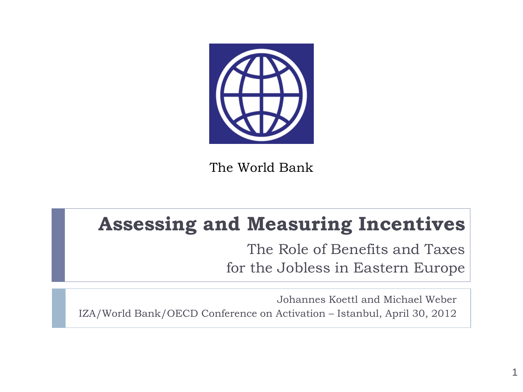

The World Bank

### **Assessing and Measuring Incentives**

The Role of Benefits and Taxes for the Jobless in Eastern Europe

1

Johannes Koettl and Michael Weber IZA/World Bank/OECD Conference on Activation – Istanbul, April 30, 2012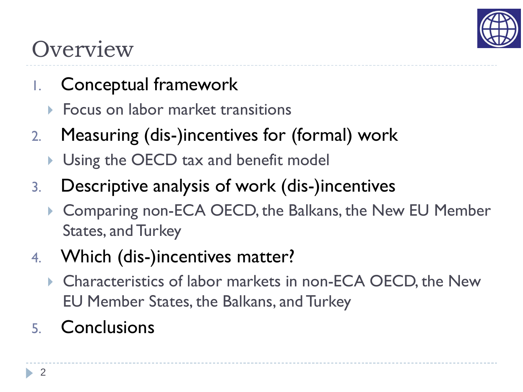

# **Overview**

- 1. Conceptual framework
	- Focus on labor market transitions
- 2. Measuring (dis-)incentives for (formal) work
	- **Using the OECD tax and benefit model**
- 3. Descriptive analysis of work (dis-)incentives
	- ▶ Comparing non-ECA OECD, the Balkans, the New EU Member States, and Turkey
- 4. Which (dis-)incentives matter?
	- ▶ Characteristics of labor markets in non-ECA OECD, the New EU Member States, the Balkans, and Turkey
- 5. Conclusions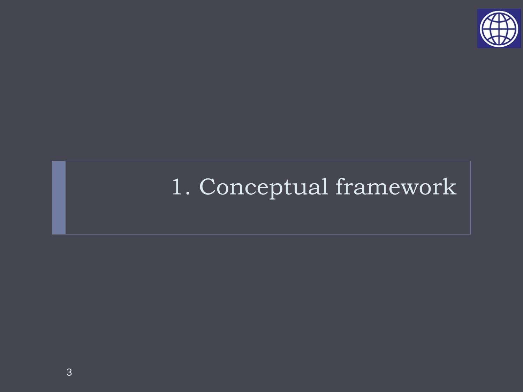

# 1. Conceptual framework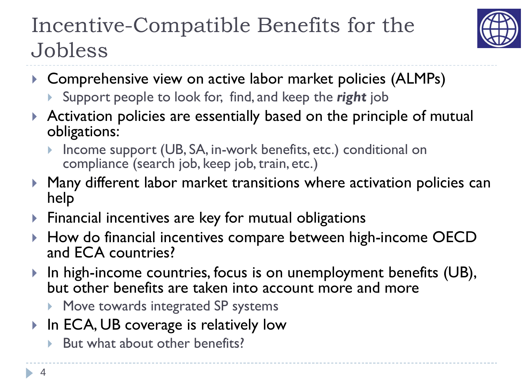## Incentive-Compatible Benefits for the Jobless



- ▶ Comprehensive view on active labor market policies (ALMPs)
	- Support people to look for, find, and keep the *right* job
- Activation policies are essentially based on the principle of mutual obligations:
	- Income support (UB, SA, in-work benefits, etc.) conditional on compliance (search job, keep job, train, etc.)
- Many different labor market transitions where activation policies can help
- **Financial incentives are key for mutual obligations**
- ▶ How do financial incentives compare between high-income OECD and ECA countries?
- ▶ In high-income countries, focus is on unemployment benefits (UB), but other benefits are taken into account more and more
	- **Move towards integrated SP systems**
- ▶ In ECA, UB coverage is relatively low
	- $\triangleright$  But what about other benefits?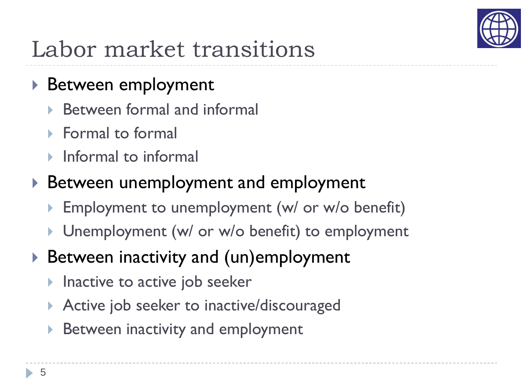

# Labor market transitions

### ▶ Between employment

- Between formal and informal
- **Formal to formal**
- Informal to informal

### ▶ Between unemployment and employment

- Employment to unemployment (w/ or w/o benefit)
- ▶ Unemployment (w/ or w/o benefit) to employment
- ▶ Between inactivity and (un)employment
	- Inactive to active job seeker
	- Active job seeker to inactive/discouraged
	- Between inactivity and employment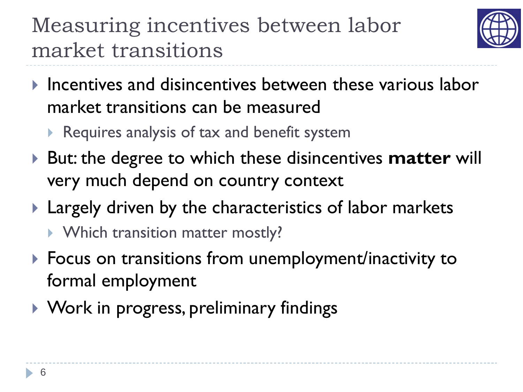# Measuring incentives between labor market transitions



- $\blacktriangleright$  Incentives and disincentives between these various labor market transitions can be measured
	- Requires analysis of  $tax$  and benefit system
- ▶ But: the degree to which these disincentives **matter** will very much depend on country context
- ▶ Largely driven by the characteristics of labor markets
	- ▶ Which transition matter mostly?
- ▶ Focus on transitions from unemployment/inactivity to formal employment
- ▶ Work in progress, preliminary findings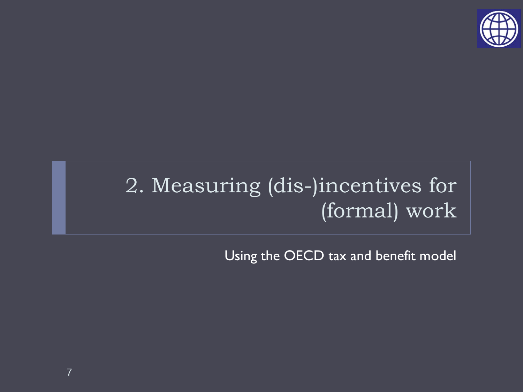

### 2. Measuring (dis-)incentives for (formal) work

Using the OECD tax and benefit model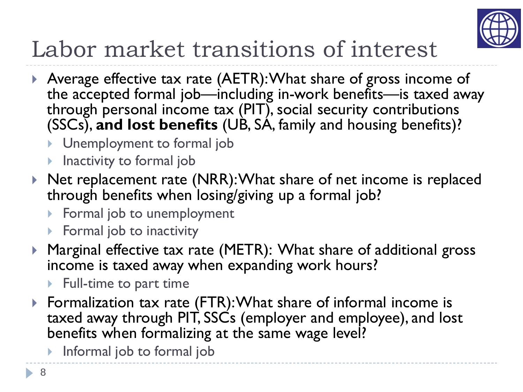

# Labor market transitions of interest

- Average effective tax rate (AETR): What share of gross income of the accepted formal job—including in-work benefits—is taxed away through personal income tax (PIT), social security contributions (SSCs), **and lost benefits** (UB, SA, family and housing benefits)?
	- **I** Unemployment to formal job
	- **Inactivity to formal job**
- ▶ Net replacement rate (NRR): What share of net income is replaced through benefits when losing/giving up a formal job?
	- ▶ Formal job to unemployment
	- $\triangleright$  Formal job to inactivity
- Marginal effective tax rate (METR): What share of additional gross income is taxed away when expanding work hours?
	- $\blacktriangleright$  Full-time to part time
- ▶ Formalization tax rate (FTR): What share of informal income is taxed away through PIT, SSCs (employer and employee), and lost benefits when formalizing at the same wage level?
	- **Informal job to formal job**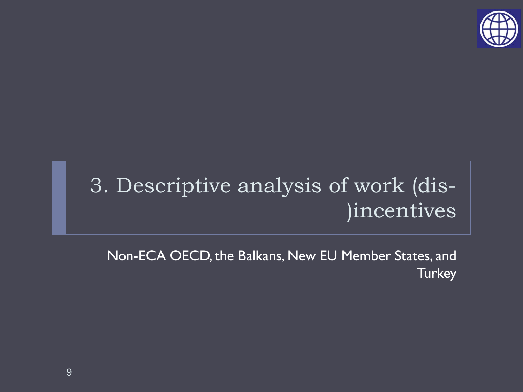

## 3. Descriptive analysis of work (dis- )incentives

Non-ECA OECD, the Balkans, New EU Member States, and **Turkey**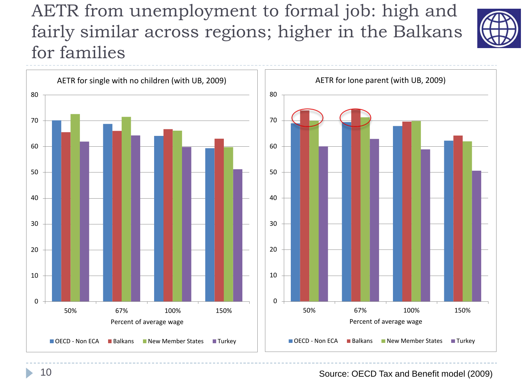### AETR from unemployment to formal job: high and fairly similar across regions; higher in the Balkans for families





Source: OECD Tax and Benefit model (2009)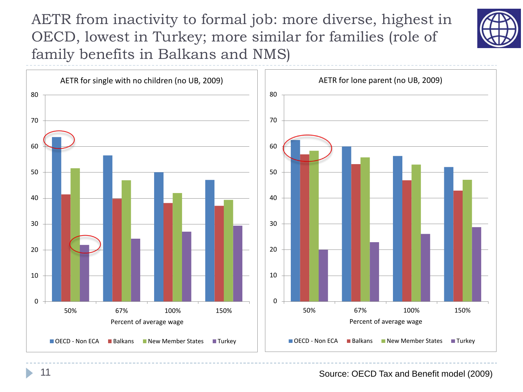AETR from inactivity to formal job: more diverse, highest in OECD, lowest in Turkey; more similar for families (role of family benefits in Balkans and NMS)





Source: OECD Tax and Benefit model (2009)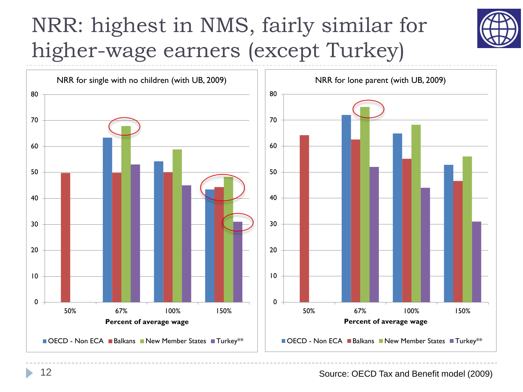# NRR: highest in NMS, fairly similar for higher-wage earners (except Turkey)





Source: OECD Tax and Benefit model (2009)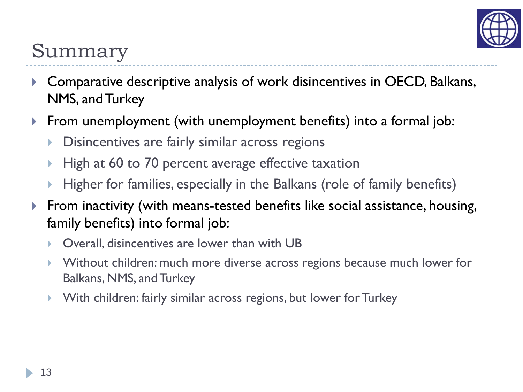

### Summary

- Comparative descriptive analysis of work disincentives in OECD, Balkans, NMS, and Turkey
- From unemployment (with unemployment benefits) into a formal job:
	- Disincentives are fairly similar across regions
	- High at 60 to 70 percent average effective taxation
	- Higher for families, especially in the Balkans (role of family benefits)
- **Ficht** From inactivity (with means-tested benefits like social assistance, housing, family benefits) into formal job:
	- Overall, disincentives are lower than with UB
	- Without children: much more diverse across regions because much lower for Balkans, NMS, and Turkey
	- With children: fairly similar across regions, but lower for Turkey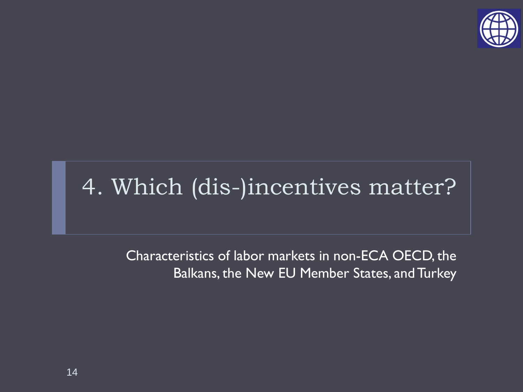

# 4. Which (dis-)incentives matter?

Characteristics of labor markets in non-ECA OECD, the Balkans, the New EU Member States, and Turkey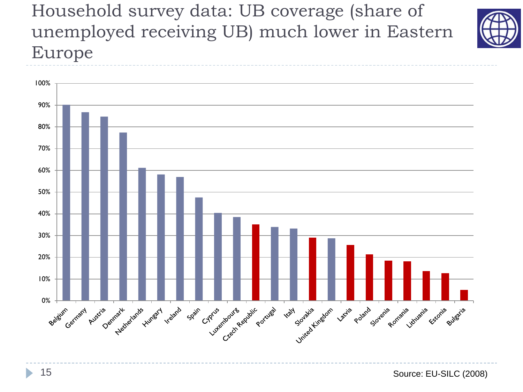Household survey data: UB coverage (share of unemployed receiving UB) much lower in Eastern Europe



b.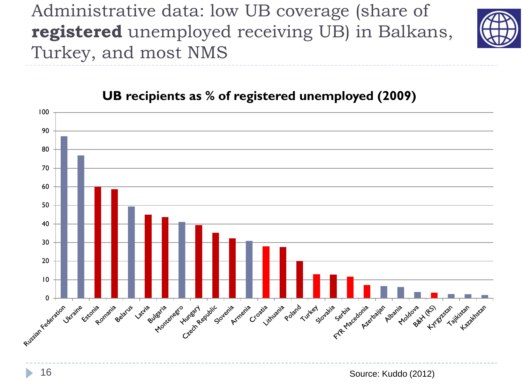Administrative data: low UB coverage (share of **registered** unemployed receiving UB) in Balkans, Turkey, and most NMS



### 100 90 80 70 60 50 40 30 20 10 Russian Federation Creck Realistic Joile Avenie Arm Armenie Croatie transmile polard Lutter Journal Crossing Assign , Aomania cylia duratio Rulestia Richard Juraine ree Estañia Acia Belarus **SS** Lacita seto Hungary Icistan Mstan Albert Molow Hyper Tailuson 16 Source: Kuddo (2012)

### **UB recipients as % of registered unemployed (2009)**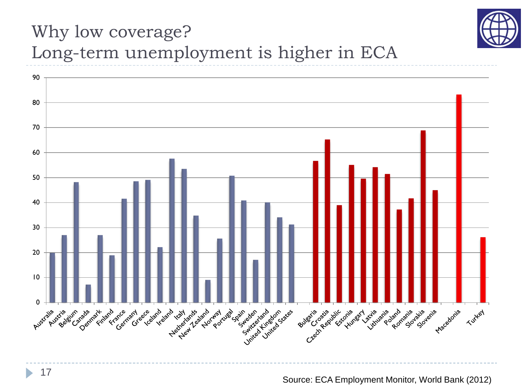

### Why low coverage? Long-term unemployment is higher in ECA

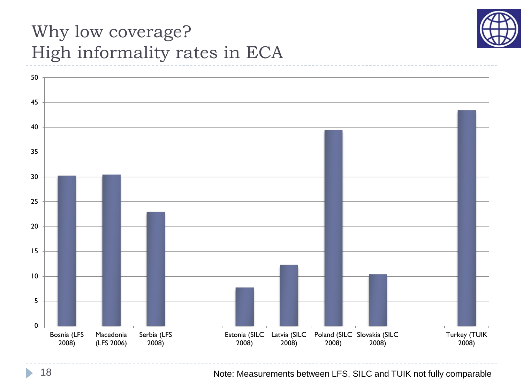

### Why low coverage? High informality rates in ECA



18 Note: Measurements between LFS, SILC and TUIK not fully comparable

D.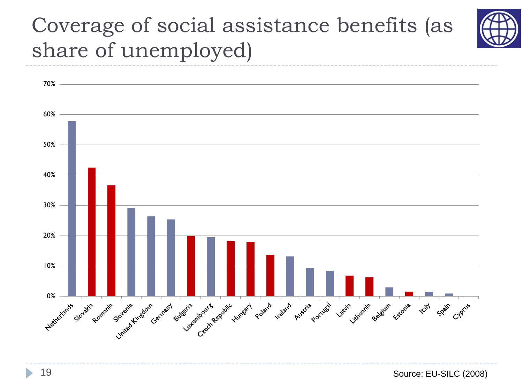### Coverage of social assistance benefits (as share of unemployed)



b.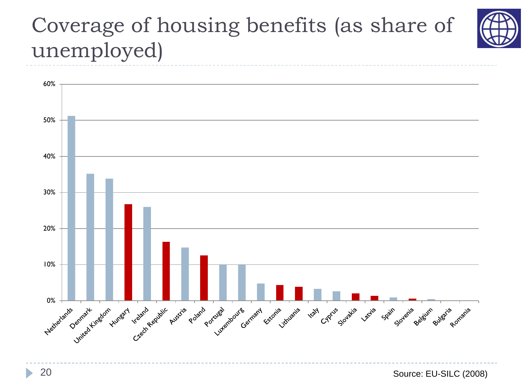## Coverage of housing benefits (as share of unemployed)



b.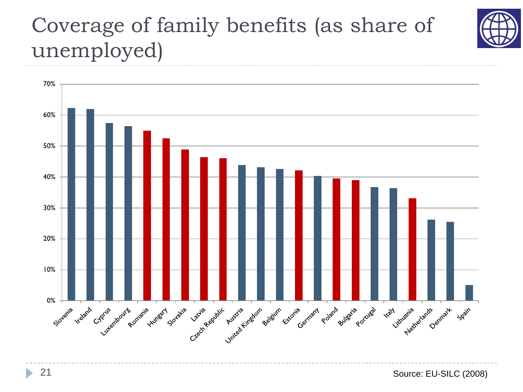## Coverage of family benefits (as share of unemployed)



 $\blacktriangleright$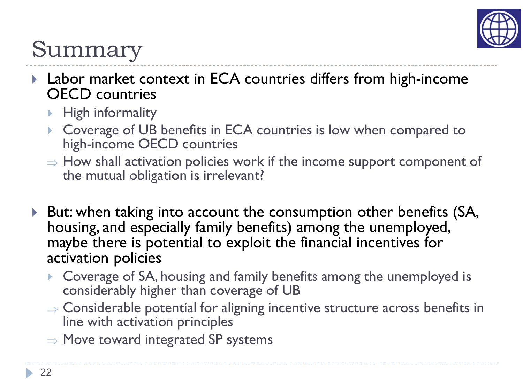

# Summary

- ▶ Labor market context in ECA countries differs from high-income OECD countries
	- $\blacktriangleright$  High informality
	- ▶ Coverage of UB benefits in ECA countries is low when compared to high-income OECD countries
	- $\Rightarrow$  How shall activation policies work if the income support component of the mutual obligation is irrelevant?
- ▶ But: when taking into account the consumption other benefits (SA, housing, and especially family benefits) among the unemployed, maybe there is potential to exploit the financial incentives for activation policies
	- Coverage of SA, housing and family benefits among the unemployed is considerably higher than coverage of UB
	- ⇒ Considerable potential for aligning incentive structure across benefits in line with activation principles
	- $\Rightarrow$  Move toward integrated SP systems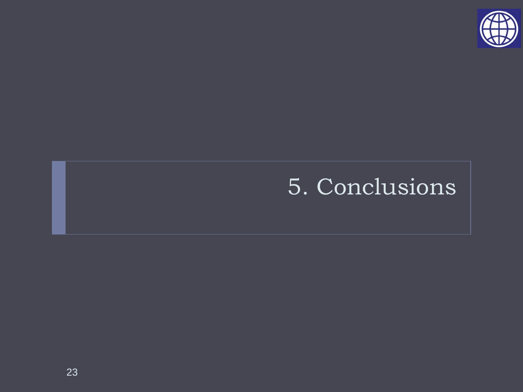

## 5. Conclusions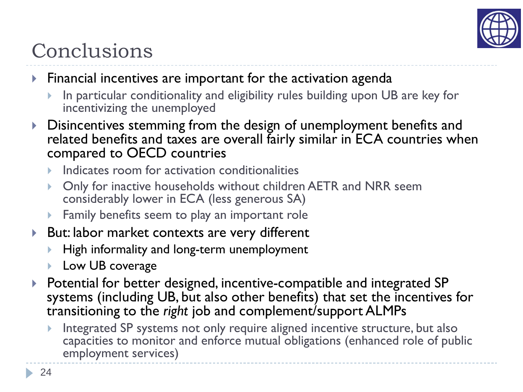

### Conclusions

- $\blacktriangleright$  Financial incentives are important for the activation agenda
	- In particular conditionality and eligibility rules building upon UB are key for incentivizing the unemployed
- Disincentives stemming from the design of unemployment benefits and related benefits and taxes are overall fairly similar in ECA countries when compared to OECD countries
	- Indicates room for activation conditionalities
	- Only for inactive households without children AETR and NRR seem considerably lower in ECA (less generous SA)
	- **Family benefits seem to play an important role**
- ▶ But: labor market contexts are very different
	- High informality and long-term unemployment
	- **Low UB coverage**
- ▶ Potential for better designed, incentive-compatible and integrated SP systems (including UB, but also other benefits) that set the incentives for transitioning to the *right* job and complement/support ALMPs
	- Integrated SP systems not only require aligned incentive structure, but also capacities to monitor and enforce mutual obligations (enhanced role of public employment services)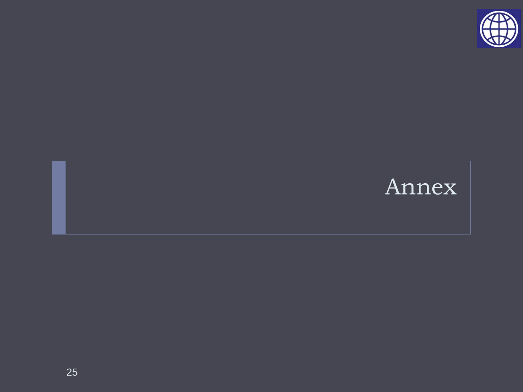

### Annex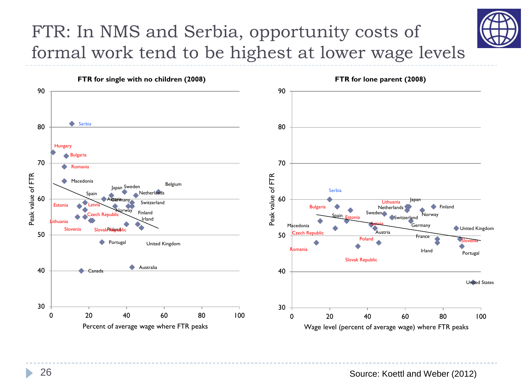### FTR: In NMS and Serbia, opportunity costs of formal work tend to be highest at lower wage levels

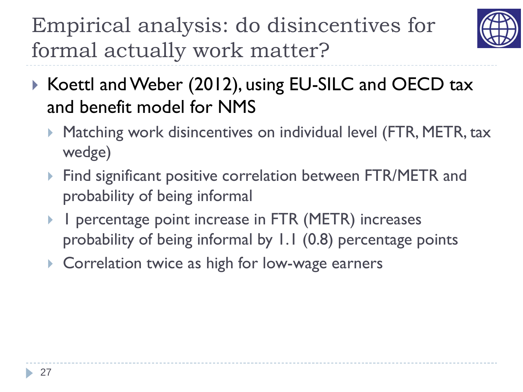Empirical analysis: do disincentives for formal actually work matter?



- ▶ Koettl and Weber (2012), using EU-SILC and OECD tax and benefit model for NMS
	- ▶ Matching work disincentives on individual level (FTR, METR, tax wedge)
	- **Find significant positive correlation between FTR/METR and** probability of being informal
	- 1 percentage point increase in FTR (METR) increases probability of being informal by 1.1 (0.8) percentage points
	- ▶ Correlation twice as high for low-wage earners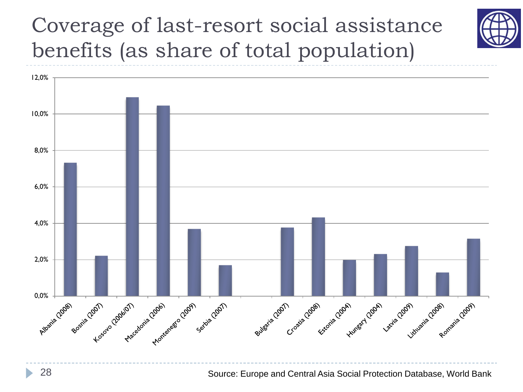Coverage of last-resort social assistance benefits (as share of total population)



Source: Europe and Central Asia Social Protection Database, World Bank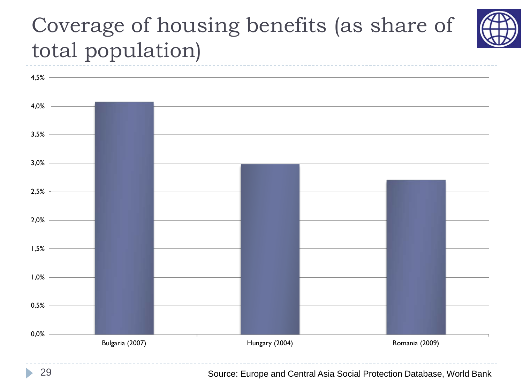## Coverage of housing benefits (as share of total population)



29 Source: Europe and Central Asia Social Protection Database, World Bank